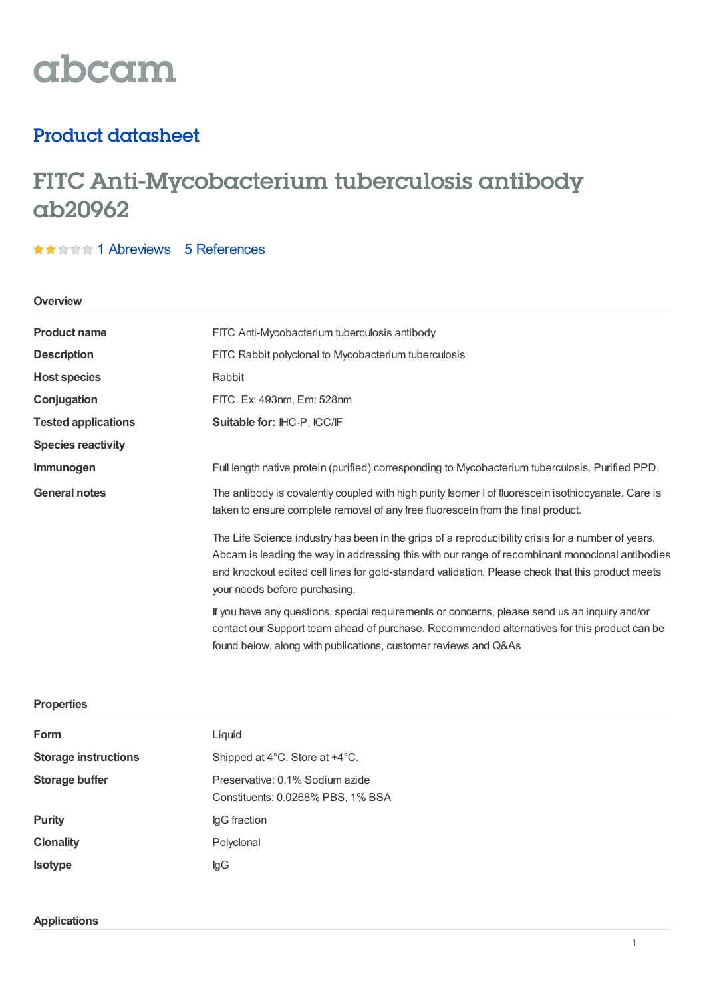# abcam

### Product datasheet

## FITC Anti-Mycobacterium tuberculosis antibody ab20962

### ★★★★★1 [Abreviews](https://www.abcam.com/fitc-mycobacterium-tuberculosis-antibody-ab20962.html?productWallTab=Abreviews) 5 [References](https://www.abcam.com/fitc-mycobacterium-tuberculosis-antibody-ab20962.html#description_references)

#### **Overview**

| <b>Product name</b>        | FITC Anti-Mycobacterium tuberculosis antibody                                                                                                                                                                                                                                                                                               |  |  |
|----------------------------|---------------------------------------------------------------------------------------------------------------------------------------------------------------------------------------------------------------------------------------------------------------------------------------------------------------------------------------------|--|--|
| <b>Description</b>         | FITC Rabbit polyclonal to Mycobacterium tuberculosis                                                                                                                                                                                                                                                                                        |  |  |
| <b>Host species</b>        | Rabbit                                                                                                                                                                                                                                                                                                                                      |  |  |
| Conjugation                | FITC. Ex: 493nm, Em: 528nm                                                                                                                                                                                                                                                                                                                  |  |  |
| <b>Tested applications</b> | Suitable for: IHC-P, ICC/IF                                                                                                                                                                                                                                                                                                                 |  |  |
| <b>Species reactivity</b>  |                                                                                                                                                                                                                                                                                                                                             |  |  |
| Immunogen                  | Full length native protein (purified) corresponding to Mycobacterium tuberculosis. Purified PPD.                                                                                                                                                                                                                                            |  |  |
| <b>General notes</b>       | The antibody is covalently coupled with high purity Isomer I of fluorescein isothiocyanate. Care is<br>taken to ensure complete removal of any free fluorescein from the final product.                                                                                                                                                     |  |  |
|                            | The Life Science industry has been in the grips of a reproducibility crisis for a number of years.<br>Abcam is leading the way in addressing this with our range of recombinant monoclonal antibodies<br>and knockout edited cell lines for gold-standard validation. Please check that this product meets<br>your needs before purchasing. |  |  |
|                            | If you have any questions, special requirements or concerns, please send us an inquiry and/or<br>contact our Support team ahead of purchase. Recommended alternatives for this product can be<br>found below, along with publications, customer reviews and Q&As                                                                            |  |  |

#### **Properties**

| Form                        | Liquid                                                               |
|-----------------------------|----------------------------------------------------------------------|
| <b>Storage instructions</b> | Shipped at 4°C. Store at +4°C.                                       |
| <b>Storage buffer</b>       | Preservative: 0.1% Sodium azide<br>Constituents: 0.0268% PBS, 1% BSA |
| <b>Purity</b>               | lgG fraction                                                         |
| <b>Clonality</b>            | Polyclonal                                                           |
| <b>Isotype</b>              | lgG                                                                  |